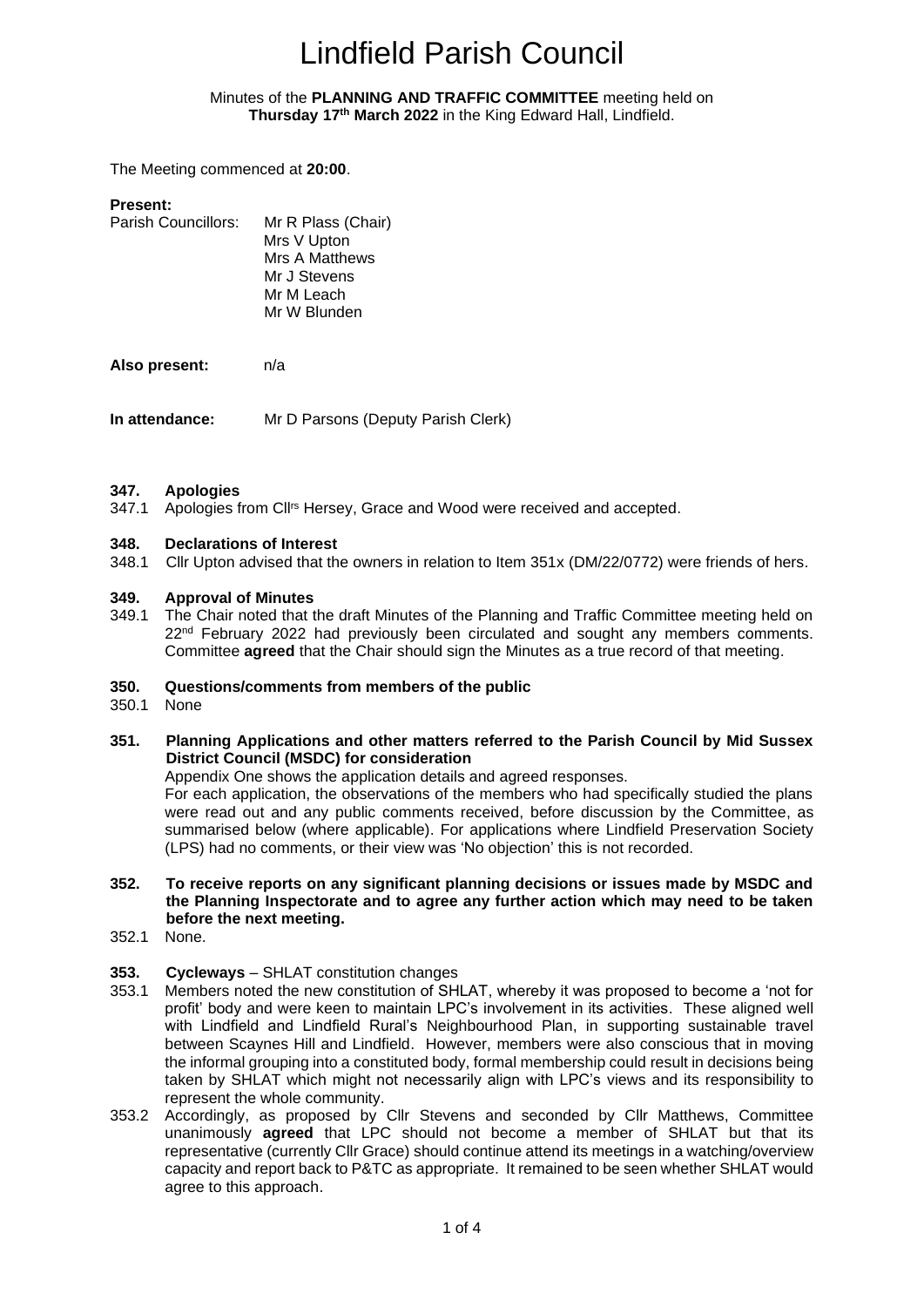#### Minutes of the **PLANNING AND TRAFFIC COMMITTEE** meeting held on **Thursday 17 th March 2022** in the King Edward Hall, Lindfield.

<span id="page-0-1"></span><span id="page-0-0"></span>The Meeting commenced at **20:00**.

| <b>Present:</b>     |                       |
|---------------------|-----------------------|
| Parish Councillors: | Mr R Plass (Chair)    |
|                     | Mrs V Upton           |
|                     | <b>Mrs A Matthews</b> |
|                     | Mr J Stevens          |
|                     | Mr M Leach            |
|                     | Mr W Blunden          |
|                     |                       |

**Also present:** n/a

**In attendance:** Mr D Parsons (Deputy Parish Clerk)

#### **347. Apologies**

347.1 Apologies from Cllrs Hersey, Grace and Wood were received and accepted.

#### **348. Declarations of Interest**

348.1 Cllr Upton advised that the owners in relation to Item 351x (DM/22/0772) were friends of hers.

#### **349. Approval of Minutes**

349.1 The Chair noted that the draft Minutes of the Planning and Traffic Committee meeting held on 22<sup>nd</sup> February 2022 had previously been circulated and sought any members comments. Committee **agreed** that the Chair should sign the Minutes as a true record of that meeting.

#### **350. Questions/comments from members of the public**

- 350.1 None
- **351. Planning Applications and other matters referred to the Parish Council by Mid Sussex District Council (MSDC) for consideration**

Appendix One shows the application details and agreed responses.

For each application, the observations of the members who had specifically studied the plans were read out and any public comments received, before discussion by the Committee, as summarised below (where applicable). For applications where Lindfield Preservation Society (LPS) had no comments, or their view was 'No objection' this is not recorded.

- **352. To receive reports on any significant planning decisions or issues made by MSDC and the Planning Inspectorate and to agree any further action which may need to be taken before the next meeting.**
- 352.1 None.
- **353. Cycleways** SHLAT constitution changes
- 353.1 Members noted the new constitution of SHLAT, whereby it was proposed to become a 'not for profit' body and were keen to maintain LPC's involvement in its activities. These aligned well with Lindfield and Lindfield Rural's Neighbourhood Plan, in supporting sustainable travel between Scaynes Hill and Lindfield. However, members were also conscious that in moving the informal grouping into a constituted body, formal membership could result in decisions being taken by SHLAT which might not necessarily align with LPC's views and its responsibility to represent the whole community.
- 353.2 Accordingly, as proposed by Cllr Stevens and seconded by Cllr Matthews, Committee unanimously **agreed** that LPC should not become a member of SHLAT but that its representative (currently Cllr Grace) should continue attend its meetings in a watching/overview capacity and report back to P&TC as appropriate. It remained to be seen whether SHLAT would agree to this approach.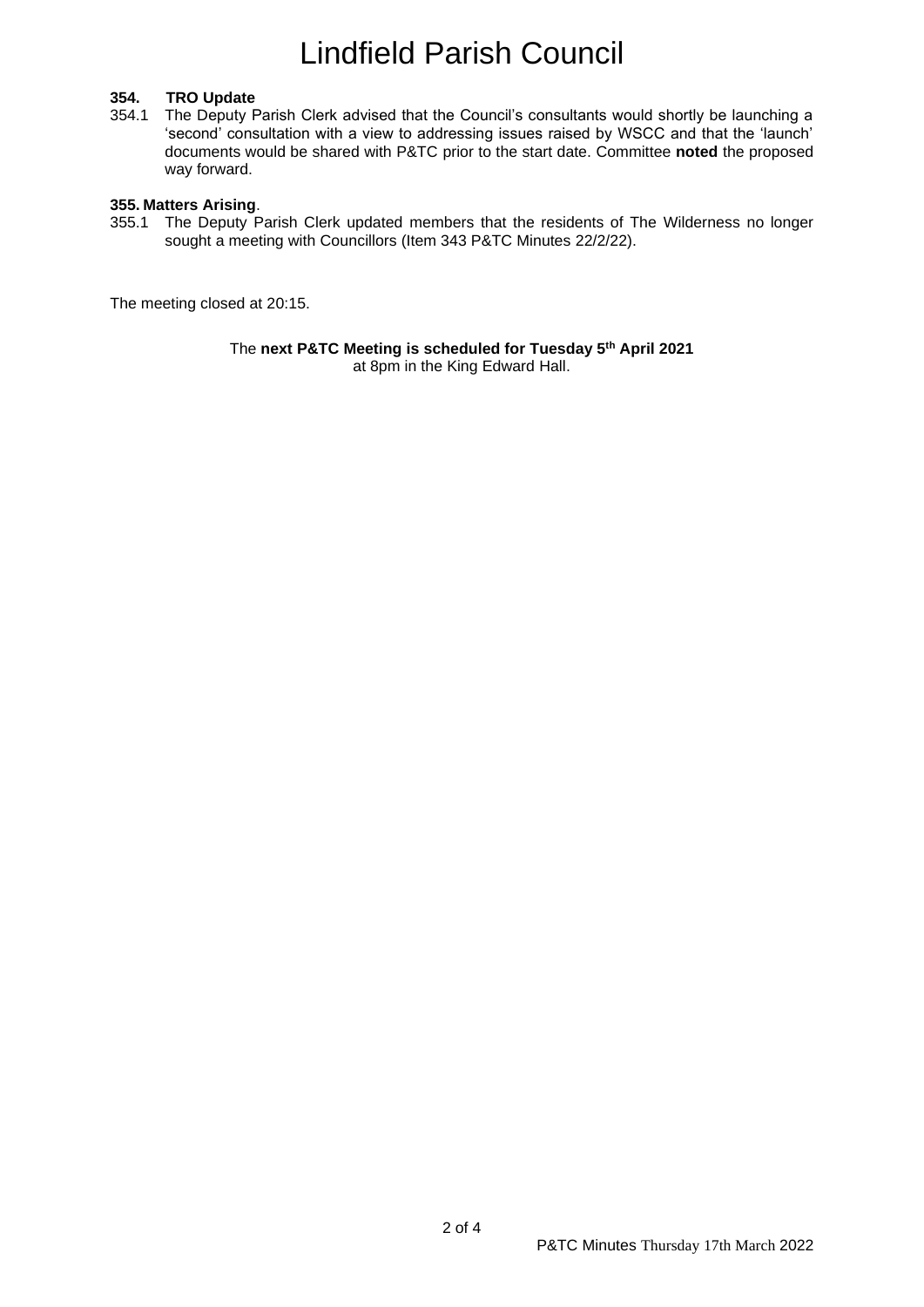#### **354. TRO Update**

354.1 The Deputy Parish Clerk advised that the Council's consultants would shortly be launching a 'second' consultation with a view to addressing issues raised by WSCC and that the 'launch' documents would be shared with P&TC prior to the start date. Committee **noted** the proposed way forward.

#### **355. Matters Arising**.

355.1 The Deputy Parish Clerk updated members that the residents of The Wilderness no longer sought a meeting with Councillors (Item 343 P&TC Minutes 22/2/22).

The meeting closed at 20:15.

The **next P&TC Meeting is scheduled for Tuesday 5th April 2021** at 8pm in the King Edward Hall.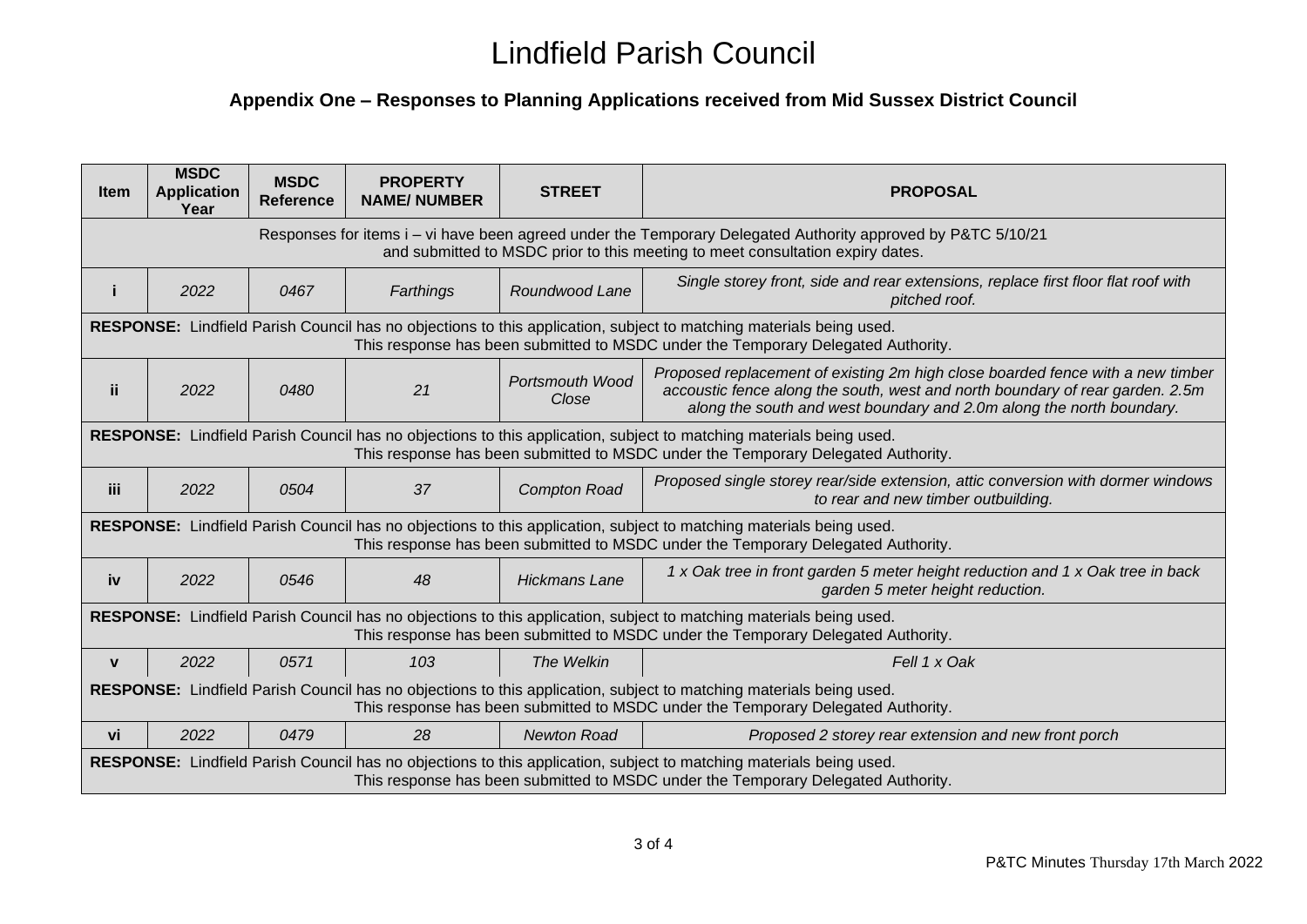### **Appendix One – Responses to Planning Applications received from Mid Sussex District Council**

| <b>Item</b>                                                                                                                                                                                              | <b>MSDC</b><br><b>Application</b><br>Year | <b>MSDC</b><br><b>Reference</b> | <b>PROPERTY</b><br><b>NAME/NUMBER</b> | <b>STREET</b>                   | <b>PROPOSAL</b>                                                                                                                                                                                                                         |  |
|----------------------------------------------------------------------------------------------------------------------------------------------------------------------------------------------------------|-------------------------------------------|---------------------------------|---------------------------------------|---------------------------------|-----------------------------------------------------------------------------------------------------------------------------------------------------------------------------------------------------------------------------------------|--|
| Responses for items i – vi have been agreed under the Temporary Delegated Authority approved by P&TC 5/10/21<br>and submitted to MSDC prior to this meeting to meet consultation expiry dates.           |                                           |                                 |                                       |                                 |                                                                                                                                                                                                                                         |  |
|                                                                                                                                                                                                          | 2022                                      | 0467                            | Farthings                             | Roundwood Lane                  | Single storey front, side and rear extensions, replace first floor flat roof with<br>pitched roof.                                                                                                                                      |  |
| RESPONSE: Lindfield Parish Council has no objections to this application, subject to matching materials being used.<br>This response has been submitted to MSDC under the Temporary Delegated Authority. |                                           |                                 |                                       |                                 |                                                                                                                                                                                                                                         |  |
| ii.                                                                                                                                                                                                      | 2022                                      | 0480                            | 21                                    | <b>Portsmouth Wood</b><br>Close | Proposed replacement of existing 2m high close boarded fence with a new timber<br>accoustic fence along the south, west and north boundary of rear garden. 2.5m<br>along the south and west boundary and 2.0m along the north boundary. |  |
| RESPONSE: Lindfield Parish Council has no objections to this application, subject to matching materials being used.<br>This response has been submitted to MSDC under the Temporary Delegated Authority. |                                           |                                 |                                       |                                 |                                                                                                                                                                                                                                         |  |
| iii                                                                                                                                                                                                      | 2022                                      | 0504                            | 37                                    | <b>Compton Road</b>             | Proposed single storey rear/side extension, attic conversion with dormer windows<br>to rear and new timber outbuilding.                                                                                                                 |  |
| RESPONSE: Lindfield Parish Council has no objections to this application, subject to matching materials being used.<br>This response has been submitted to MSDC under the Temporary Delegated Authority. |                                           |                                 |                                       |                                 |                                                                                                                                                                                                                                         |  |
| iv                                                                                                                                                                                                       | 2022                                      | 0546                            | 48                                    | <b>Hickmans Lane</b>            | 1 x Oak tree in front garden 5 meter height reduction and 1 x Oak tree in back<br>garden 5 meter height reduction.                                                                                                                      |  |
| RESPONSE: Lindfield Parish Council has no objections to this application, subject to matching materials being used.<br>This response has been submitted to MSDC under the Temporary Delegated Authority. |                                           |                                 |                                       |                                 |                                                                                                                                                                                                                                         |  |
| $\mathbf{V}$                                                                                                                                                                                             | 2022                                      | 0571                            | 103                                   | The Welkin                      | Fell 1 x Oak                                                                                                                                                                                                                            |  |
| RESPONSE: Lindfield Parish Council has no objections to this application, subject to matching materials being used.<br>This response has been submitted to MSDC under the Temporary Delegated Authority. |                                           |                                 |                                       |                                 |                                                                                                                                                                                                                                         |  |
| vi                                                                                                                                                                                                       | 2022                                      | 0479                            | 28                                    | <b>Newton Road</b>              | Proposed 2 storey rear extension and new front porch                                                                                                                                                                                    |  |
| RESPONSE: Lindfield Parish Council has no objections to this application, subject to matching materials being used.<br>This response has been submitted to MSDC under the Temporary Delegated Authority. |                                           |                                 |                                       |                                 |                                                                                                                                                                                                                                         |  |